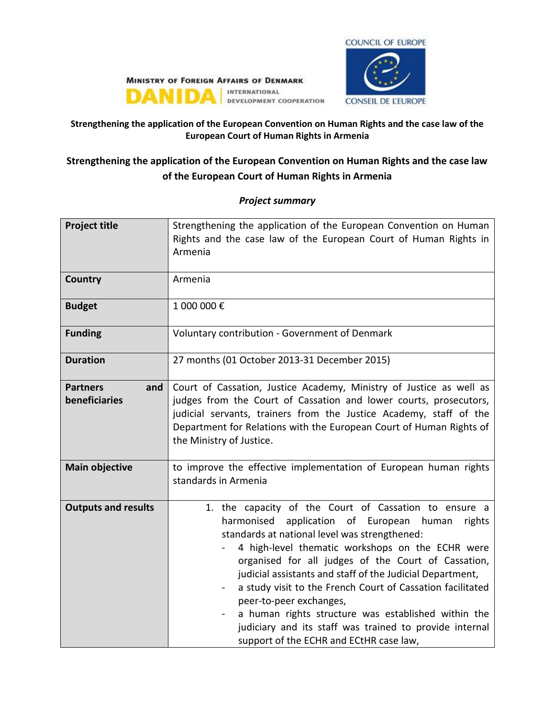

#### **MINISTRY OF FOREIGN AFFAIRS OF DENMARK** INTERNATIONAL DANIDA DEVELOPMENT COOPERATION

## **Strengthening the application of the European Convention on Human Rights and the case law of the European Court of Human Rights in Armenia**

# **Strengthening the application of the European Convention on Human Rights and the case law of the European Court of Human Rights in Armenia**

| <b>Project title</b>                    | Strengthening the application of the European Convention on Human<br>Rights and the case law of the European Court of Human Rights in<br>Armenia                                                                                                                                                                                                                                                                                                                                                                                                                                                                |
|-----------------------------------------|-----------------------------------------------------------------------------------------------------------------------------------------------------------------------------------------------------------------------------------------------------------------------------------------------------------------------------------------------------------------------------------------------------------------------------------------------------------------------------------------------------------------------------------------------------------------------------------------------------------------|
| <b>Country</b>                          | Armenia                                                                                                                                                                                                                                                                                                                                                                                                                                                                                                                                                                                                         |
| <b>Budget</b>                           | 1 000 000€                                                                                                                                                                                                                                                                                                                                                                                                                                                                                                                                                                                                      |
| <b>Funding</b>                          | Voluntary contribution - Government of Denmark                                                                                                                                                                                                                                                                                                                                                                                                                                                                                                                                                                  |
| <b>Duration</b>                         | 27 months (01 October 2013-31 December 2015)                                                                                                                                                                                                                                                                                                                                                                                                                                                                                                                                                                    |
| <b>Partners</b><br>and<br>beneficiaries | Court of Cassation, Justice Academy, Ministry of Justice as well as<br>judges from the Court of Cassation and lower courts, prosecutors,<br>judicial servants, trainers from the Justice Academy, staff of the<br>Department for Relations with the European Court of Human Rights of<br>the Ministry of Justice.                                                                                                                                                                                                                                                                                               |
| <b>Main objective</b>                   | to improve the effective implementation of European human rights<br>standards in Armenia                                                                                                                                                                                                                                                                                                                                                                                                                                                                                                                        |
| <b>Outputs and results</b>              | 1. the capacity of the Court of Cassation to ensure a<br>harmonised<br>application of European human<br>rights<br>standards at national level was strengthened:<br>4 high-level thematic workshops on the ECHR were<br>organised for all judges of the Court of Cassation,<br>judicial assistants and staff of the Judicial Department,<br>a study visit to the French Court of Cassation facilitated<br>$\blacksquare$<br>peer-to-peer exchanges,<br>a human rights structure was established within the<br>judiciary and its staff was trained to provide internal<br>support of the ECHR and ECtHR case law, |

### *Project summary*